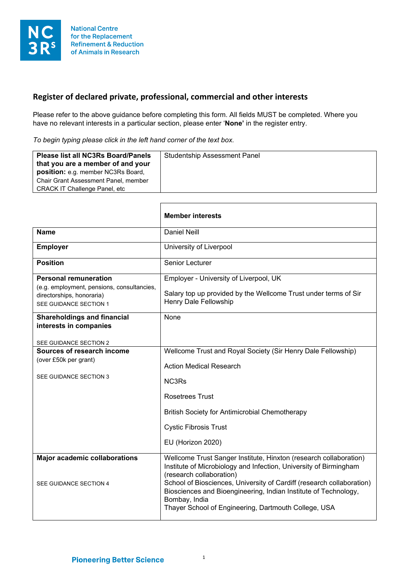

## **Register of declared private, professional, commercial and other interests**

Please refer to the above guidance before completing this form. All fields MUST be completed. Where you have no relevant interests in a particular section, please enter '**None'** in the register entry.

*To begin typing please click in the left hand corner of the text box.*

|                                                                                                                                   | <b>Member interests</b>                                                                                                                                                                                                                                                                                                                                                                 |
|-----------------------------------------------------------------------------------------------------------------------------------|-----------------------------------------------------------------------------------------------------------------------------------------------------------------------------------------------------------------------------------------------------------------------------------------------------------------------------------------------------------------------------------------|
| <b>Name</b>                                                                                                                       | <b>Daniel Neill</b>                                                                                                                                                                                                                                                                                                                                                                     |
| <b>Employer</b>                                                                                                                   | University of Liverpool                                                                                                                                                                                                                                                                                                                                                                 |
| <b>Position</b>                                                                                                                   | Senior Lecturer                                                                                                                                                                                                                                                                                                                                                                         |
| <b>Personal remuneration</b><br>(e.g. employment, pensions, consultancies,<br>directorships, honoraria)<br>SEE GUIDANCE SECTION 1 | Employer - University of Liverpool, UK<br>Salary top up provided by the Wellcome Trust under terms of Sir<br>Henry Dale Fellowship                                                                                                                                                                                                                                                      |
| <b>Shareholdings and financial</b><br>interests in companies<br>SEE GUIDANCE SECTION 2                                            | None                                                                                                                                                                                                                                                                                                                                                                                    |
| Sources of research income<br>(over £50k per grant)<br>SEE GUIDANCE SECTION 3                                                     | Wellcome Trust and Royal Society (Sir Henry Dale Fellowship)<br><b>Action Medical Research</b><br>NC3Rs<br><b>Rosetrees Trust</b><br><b>British Society for Antimicrobial Chemotherapy</b><br><b>Cystic Fibrosis Trust</b>                                                                                                                                                              |
|                                                                                                                                   | EU (Horizon 2020)                                                                                                                                                                                                                                                                                                                                                                       |
| <b>Major academic collaborations</b><br>SEE GUIDANCE SECTION 4                                                                    | Wellcome Trust Sanger Institute, Hinxton (research collaboration)<br>Institute of Microbiology and Infection, University of Birmingham<br>(research collaboration)<br>School of Biosciences, University of Cardiff (research collaboration)<br>Biosciences and Bioengineering, Indian Institute of Technology,<br>Bombay, India<br>Thayer School of Engineering, Dartmouth College, USA |